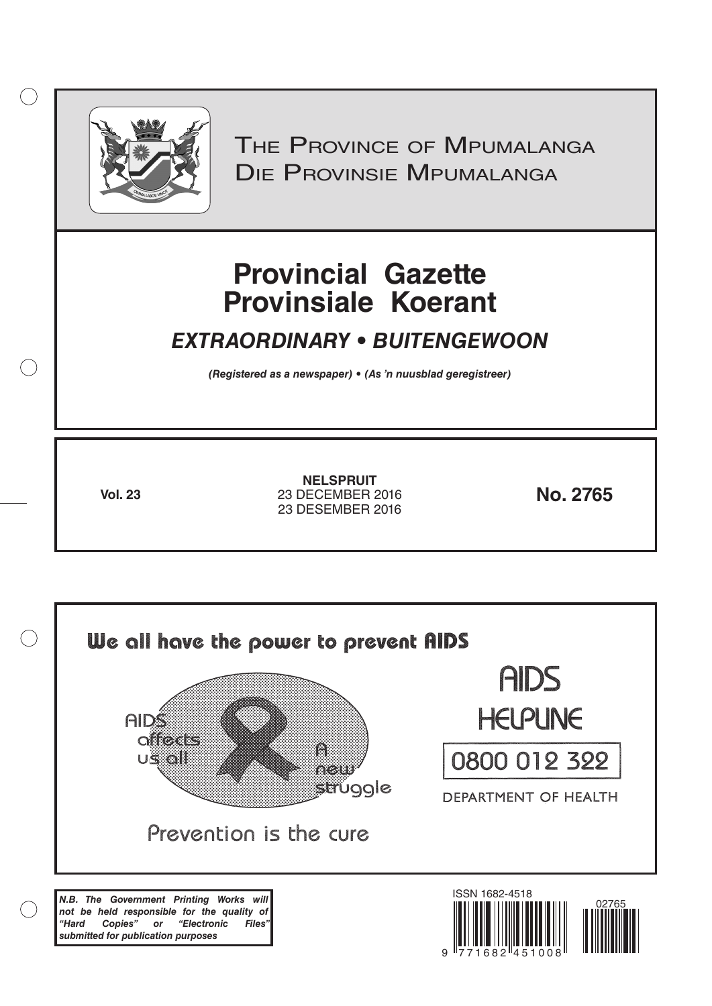

 $( )$ 

THE PROVINCE OF MPUMALANGA Die Provinsie Mpumalanga

# **Provincial Gazette Provinsiale Koerant**

# *EXTRAORDINARY • BUITENGEWOON*

*(Registered as a newspaper) • (As 'n nuusblad geregistreer)*

**Vol. 23 No. 2765** 23 DECEMBER 2016 **NELSPRUIT** 23 DESEMBER 2016

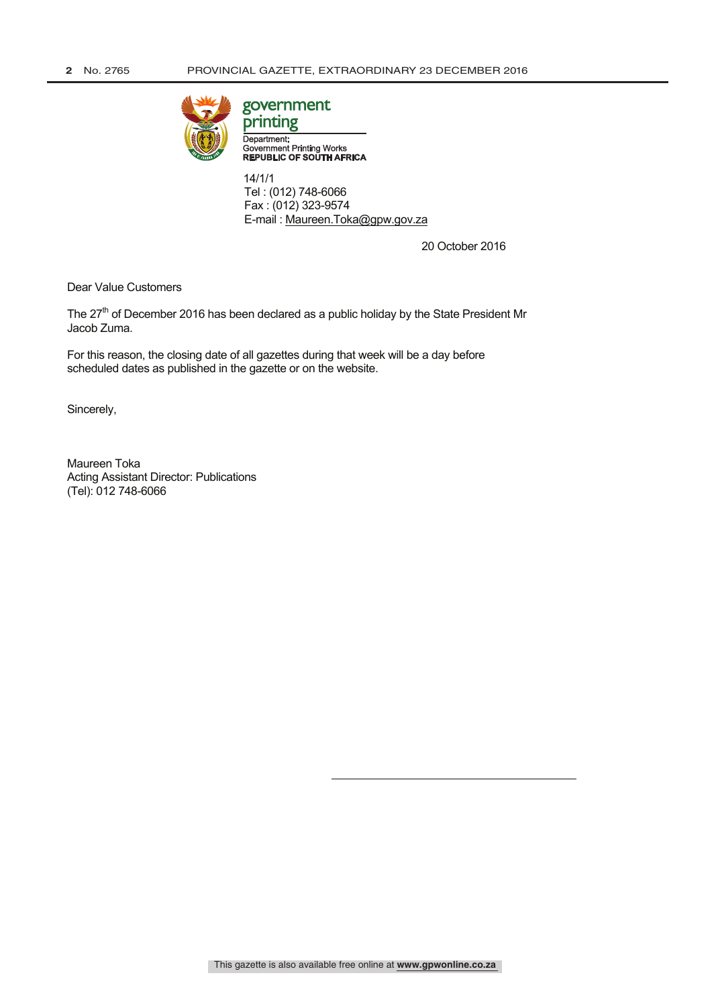

# government

Department: Government Printing Works<br>REPUBLIC OF SOUTH AFRICA

 14/1/1 Tel : (012) 748-6066 Fax : (012) 323-9574 E-mail : Maureen.Toka@gpw.gov.za

20 October 2016

Dear Value Customers

The 27<sup>th</sup> of December 2016 has been declared as a public holiday by the State President Mr Jacob Zuma.

For this reason, the closing date of all gazettes during that week will be a day before scheduled dates as published in the gazette or on the website.

Sincerely,

Maureen Toka Acting Assistant Director: Publications (Tel): 012 748-6066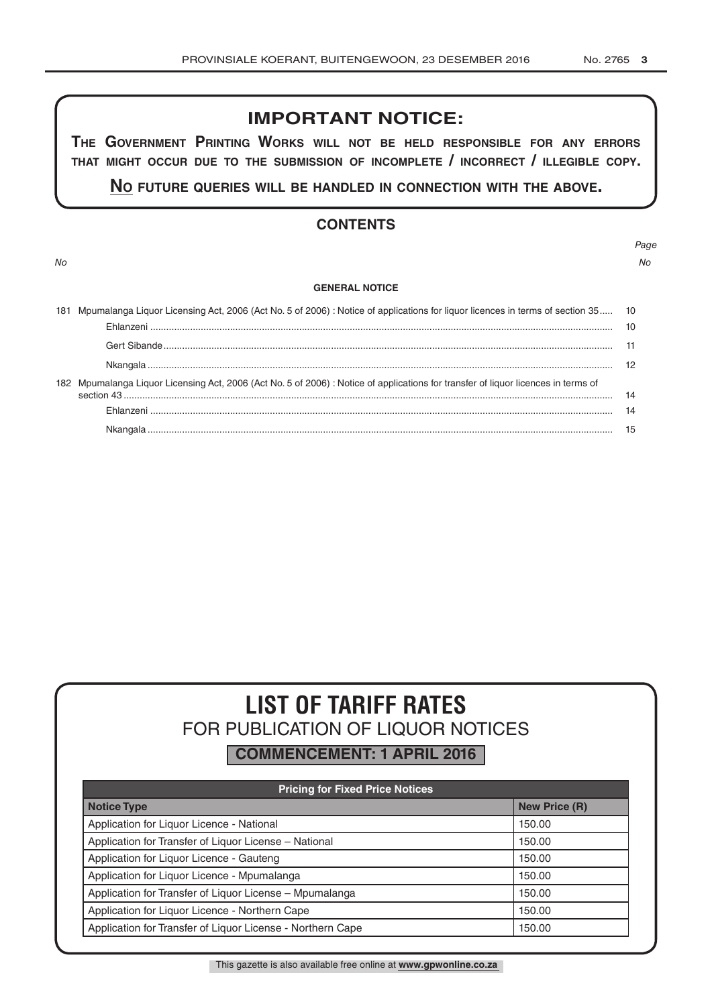# **IMPORTANT NOTICE:**

**The GovernmenT PrinTinG Works Will noT be held resPonsible for any errors ThaT miGhT occur due To The submission of incomPleTe / incorrecT / illeGible coPy.**

**no fuTure queries Will be handled in connecTion WiTh The above.**

## **CONTENTS**

#### **GENERAL NOTICE**

| 181 | Mpumalanga Liquor Licensing Act, 2006 (Act No. 5 of 2006) : Notice of applications for liquor licences in terms of section 35 10 |     |
|-----|----------------------------------------------------------------------------------------------------------------------------------|-----|
|     |                                                                                                                                  | 10  |
| 182 |                                                                                                                                  | -11 |
|     |                                                                                                                                  |     |
|     | Mpumalanga Liquor Licensing Act, 2006 (Act No. 5 of 2006) : Notice of applications for transfer of liquor licences in terms of   | 14  |
|     |                                                                                                                                  | 14  |
|     |                                                                                                                                  |     |

# **LIST OF TARIFF RATES** FOR PUBLICATION OF LIQUOR NOTICES

**COMMENCEMENT: 1 APRIL 2016**

| <b>Pricing for Fixed Price Notices</b>                     |                      |  |  |  |  |
|------------------------------------------------------------|----------------------|--|--|--|--|
| <b>Notice Type</b>                                         | <b>New Price (R)</b> |  |  |  |  |
| Application for Liquor Licence - National                  | 150.00               |  |  |  |  |
| Application for Transfer of Liquor License - National      | 150.00               |  |  |  |  |
| Application for Liquor Licence - Gauteng                   | 150.00               |  |  |  |  |
| Application for Liquor Licence - Mpumalanga                | 150.00               |  |  |  |  |
| Application for Transfer of Liquor License - Mpumalanga    | 150.00               |  |  |  |  |
| Application for Liquor Licence - Northern Cape             | 150.00               |  |  |  |  |
| Application for Transfer of Liquor License - Northern Cape | 150.00               |  |  |  |  |

This gazette is also available free online at **www.gpwonline.co.za**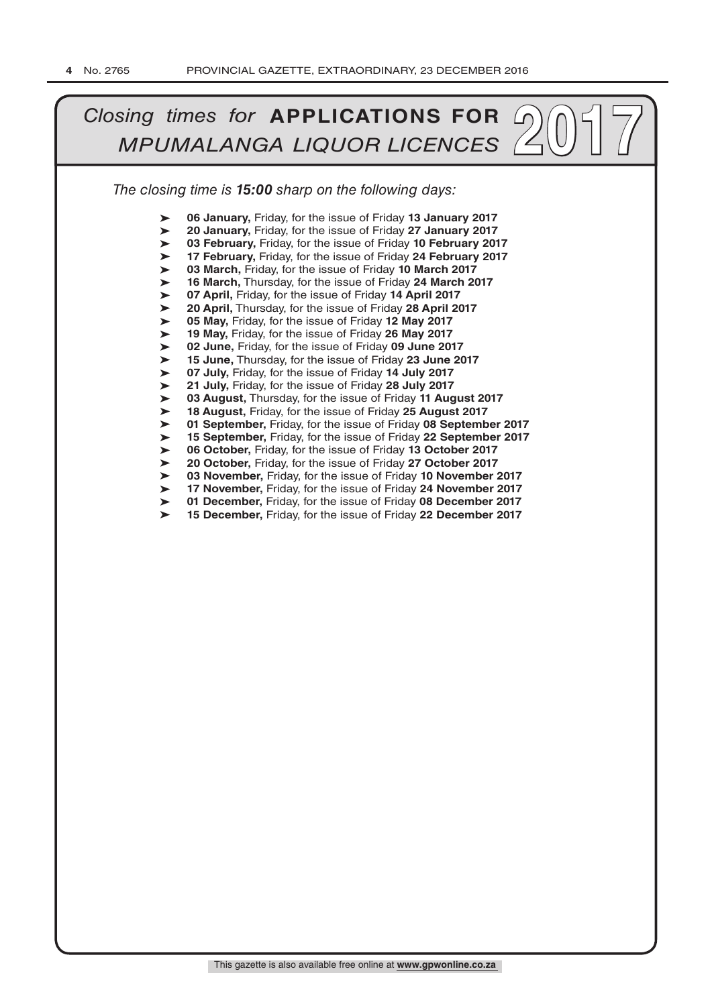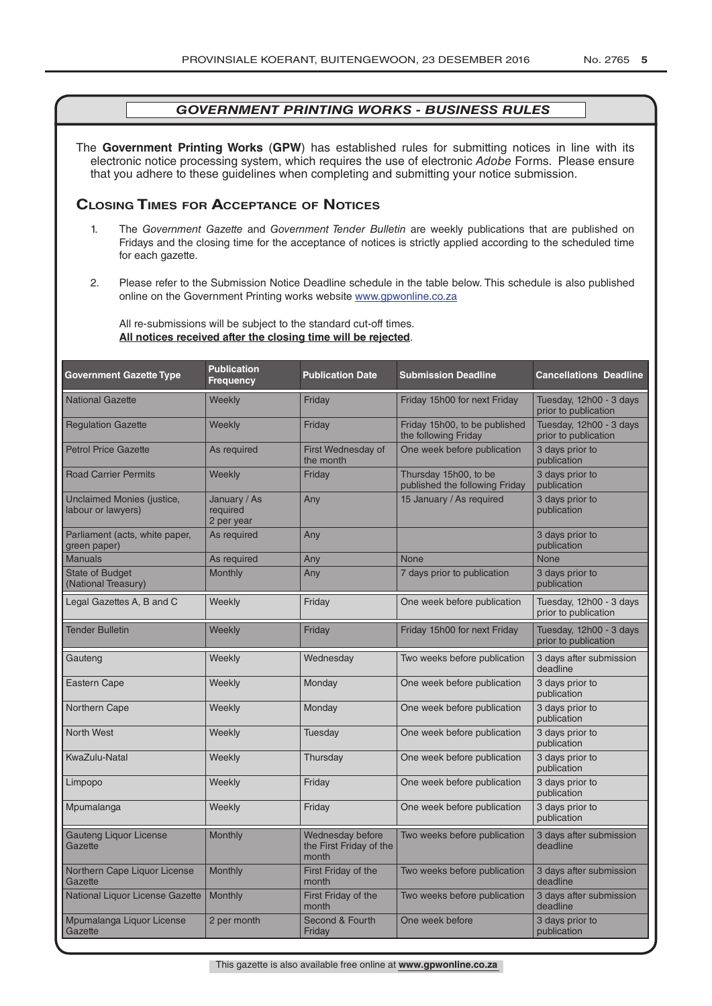The **Government Printing Works** (**GPW**) has established rules for submitting notices in line with its electronic notice processing system, which requires the use of electronic *Adobe* Forms. Please ensure that you adhere to these guidelines when completing and submitting your notice submission.

#### **Closing Times for ACCepTAnCe of noTiCes**

- 1. The *Government Gazette* and *Government Tender Bulletin* are weekly publications that are published on Fridays and the closing time for the acceptance of notices is strictly applied according to the scheduled time for each gazette.
- 2. Please refer to the Submission Notice Deadline schedule in the table below. This schedule is also published online on the Government Printing works website www.gpwonline.co.za

All re-submissions will be subject to the standard cut-off times. **All notices received after the closing time will be rejected**.

| <b>Government Gazette Type</b>                   | <b>Publication</b><br><b>Frequency</b> | <b>Publication Date</b>                              | <b>Submission Deadline</b>                              | <b>Cancellations Deadline</b>                   |
|--------------------------------------------------|----------------------------------------|------------------------------------------------------|---------------------------------------------------------|-------------------------------------------------|
| <b>National Gazette</b>                          | Weekly                                 | Friday                                               | Friday 15h00 for next Friday                            | Tuesday, 12h00 - 3 days<br>prior to publication |
| <b>Regulation Gazette</b>                        | Weekly                                 | Friday                                               | Friday 15h00, to be published<br>the following Friday   | Tuesday, 12h00 - 3 days<br>prior to publication |
| <b>Petrol Price Gazette</b>                      | As required                            | First Wednesday of<br>the month                      | One week before publication                             | 3 days prior to<br>publication                  |
| <b>Road Carrier Permits</b>                      | Weekly                                 | Friday                                               | Thursday 15h00, to be<br>published the following Friday | 3 days prior to<br>publication                  |
| Unclaimed Monies (justice,<br>labour or lawyers) | January / As<br>required<br>2 per year | Any                                                  | 15 January / As required                                | 3 days prior to<br>publication                  |
| Parliament (acts, white paper,<br>green paper)   | As required                            | Any                                                  |                                                         | 3 days prior to<br>publication                  |
| <b>Manuals</b>                                   | As required                            | Any                                                  | None                                                    | <b>None</b>                                     |
| <b>State of Budget</b><br>(National Treasury)    | <b>Monthly</b>                         | Any                                                  | 7 days prior to publication                             | 3 days prior to<br>publication                  |
| Legal Gazettes A, B and C                        | Weekly                                 | Friday                                               | One week before publication                             | Tuesday, 12h00 - 3 days<br>prior to publication |
| <b>Tender Bulletin</b>                           | Weekly                                 | Friday                                               | Friday 15h00 for next Friday                            | Tuesday, 12h00 - 3 days<br>prior to publication |
| Gauteng                                          | Weekly                                 | Wednesday                                            | Two weeks before publication                            | 3 days after submission<br>deadline             |
| Eastern Cape                                     | Weekly                                 | Monday                                               | One week before publication                             | 3 days prior to<br>publication                  |
| Northern Cape                                    | Weekly                                 | Monday                                               | One week before publication                             | 3 days prior to<br>publication                  |
| <b>North West</b>                                | Weekly                                 | Tuesday                                              | One week before publication                             | 3 days prior to<br>publication                  |
| KwaZulu-Natal                                    | Weekly                                 | Thursday                                             | One week before publication                             | 3 days prior to<br>publication                  |
| Limpopo                                          | Weekly                                 | Friday                                               | One week before publication                             | 3 days prior to<br>publication                  |
| Mpumalanga                                       | Weekly                                 | Friday                                               | One week before publication                             | 3 days prior to<br>publication                  |
| <b>Gauteng Liquor License</b><br>Gazette         | Monthly                                | Wednesday before<br>the First Friday of the<br>month | Two weeks before publication                            | 3 days after submission<br>deadline             |
| Northern Cape Liquor License<br>Gazette          | Monthly                                | First Friday of the<br>month                         | Two weeks before publication                            | 3 days after submission<br>deadline             |
| National Liquor License Gazette                  | Monthly                                | First Friday of the<br>month                         | Two weeks before publication                            | 3 days after submission<br>deadline             |
| Mpumalanga Liquor License<br>Gazette             | 2 per month                            | Second & Fourth<br>Friday                            | One week before                                         | 3 days prior to<br>publication                  |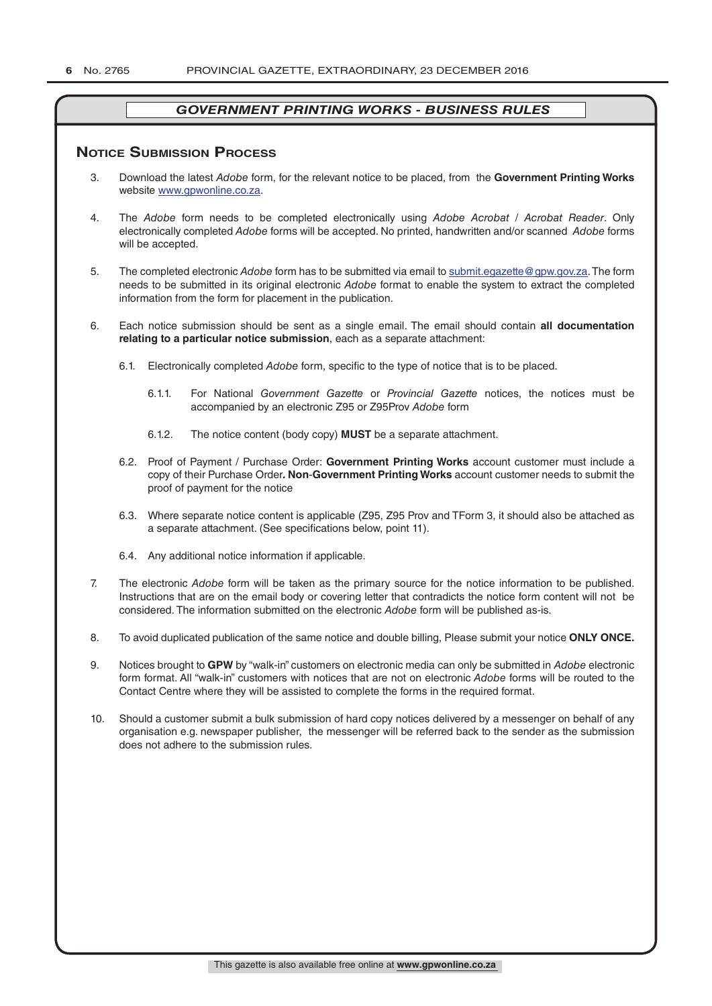#### **NOTICE SUBMISSION PROCESS**

- 3. Download the latest *Adobe* form, for the relevant notice to be placed, from the **Government Printing Works** website www.gpwonline.co.za.
- 4. The *Adobe* form needs to be completed electronically using *Adobe Acrobat* / *Acrobat Reader*. Only electronically completed *Adobe* forms will be accepted. No printed, handwritten and/or scanned *Adobe* forms will be accepted.
- 5. The completed electronic *Adobe* form has to be submitted via email to submit.egazette@gpw.gov.za. The form needs to be submitted in its original electronic *Adobe* format to enable the system to extract the completed information from the form for placement in the publication.
- 6. Each notice submission should be sent as a single email. The email should contain **all documentation relating to a particular notice submission**, each as a separate attachment:
	- 6.1. Electronically completed *Adobe* form, specific to the type of notice that is to be placed.
		- 6.1.1. For National *Government Gazette* or *Provincial Gazette* notices, the notices must be accompanied by an electronic Z95 or Z95Prov *Adobe* form
		- 6.1.2. The notice content (body copy) **MUST** be a separate attachment.
	- 6.2. Proof of Payment / Purchase Order: **Government Printing Works** account customer must include a copy of their Purchase Order*.* **Non**-**Government Printing Works** account customer needs to submit the proof of payment for the notice
	- 6.3. Where separate notice content is applicable (Z95, Z95 Prov and TForm 3, it should also be attached as a separate attachment. (See specifications below, point 11).
	- 6.4. Any additional notice information if applicable.
- 7. The electronic *Adobe* form will be taken as the primary source for the notice information to be published. Instructions that are on the email body or covering letter that contradicts the notice form content will not be considered. The information submitted on the electronic *Adobe* form will be published as-is.
- 8. To avoid duplicated publication of the same notice and double billing, Please submit your notice **ONLY ONCE.**
- 9. Notices brought to **GPW** by "walk-in" customers on electronic media can only be submitted in *Adobe* electronic form format. All "walk-in" customers with notices that are not on electronic *Adobe* forms will be routed to the Contact Centre where they will be assisted to complete the forms in the required format.
- 10. Should a customer submit a bulk submission of hard copy notices delivered by a messenger on behalf of any organisation e.g. newspaper publisher, the messenger will be referred back to the sender as the submission does not adhere to the submission rules.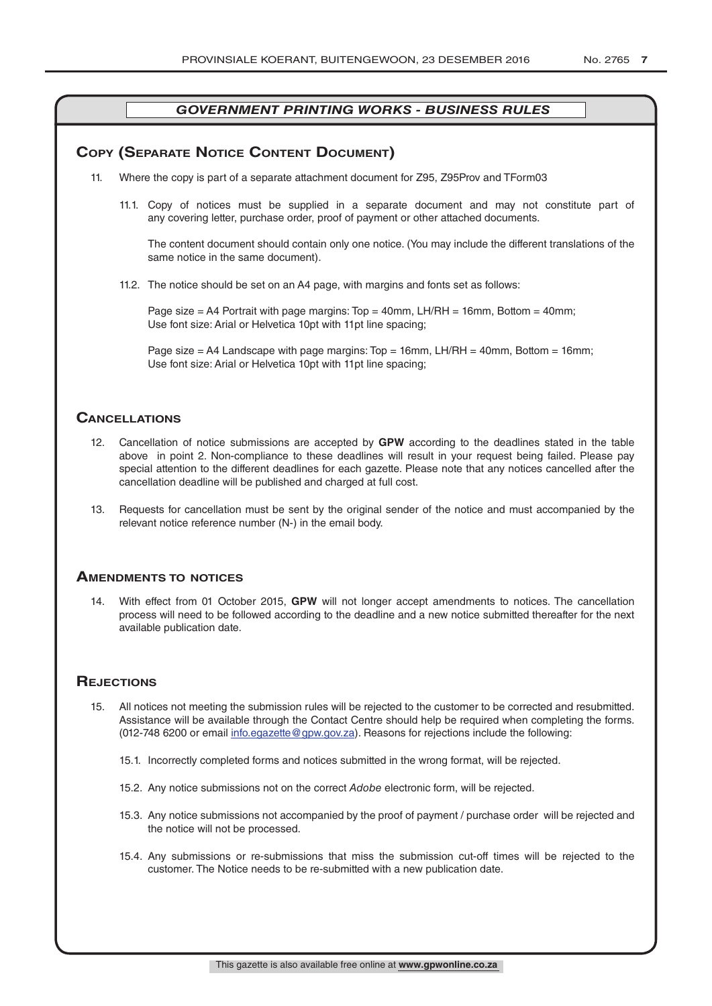#### **COPY (SEPARATE NOTICE CONTENT DOCUMENT)**

- 11. Where the copy is part of a separate attachment document for Z95, Z95Prov and TForm03
	- 11.1. Copy of notices must be supplied in a separate document and may not constitute part of any covering letter, purchase order, proof of payment or other attached documents.

The content document should contain only one notice. (You may include the different translations of the same notice in the same document).

11.2. The notice should be set on an A4 page, with margins and fonts set as follows:

Page size  $=$  A4 Portrait with page margins: Top  $=$  40mm, LH/RH  $=$  16mm, Bottom  $=$  40mm; Use font size: Arial or Helvetica 10pt with 11pt line spacing;

Page size = A4 Landscape with page margins:  $Top = 16$ mm, LH/RH = 40mm, Bottom = 16mm; Use font size: Arial or Helvetica 10pt with 11pt line spacing;

#### **CAnCellATions**

- 12. Cancellation of notice submissions are accepted by **GPW** according to the deadlines stated in the table above in point 2. Non-compliance to these deadlines will result in your request being failed. Please pay special attention to the different deadlines for each gazette. Please note that any notices cancelled after the cancellation deadline will be published and charged at full cost.
- 13. Requests for cancellation must be sent by the original sender of the notice and must accompanied by the relevant notice reference number (N-) in the email body.

#### **AmenDmenTs To noTiCes**

14. With effect from 01 October 2015, **GPW** will not longer accept amendments to notices. The cancellation process will need to be followed according to the deadline and a new notice submitted thereafter for the next available publication date.

#### **REJECTIONS**

- 15. All notices not meeting the submission rules will be rejected to the customer to be corrected and resubmitted. Assistance will be available through the Contact Centre should help be required when completing the forms. (012-748 6200 or email info.egazette@gpw.gov.za). Reasons for rejections include the following:
	- 15.1. Incorrectly completed forms and notices submitted in the wrong format, will be rejected.
	- 15.2. Any notice submissions not on the correct *Adobe* electronic form, will be rejected.
	- 15.3. Any notice submissions not accompanied by the proof of payment / purchase order will be rejected and the notice will not be processed.
	- 15.4. Any submissions or re-submissions that miss the submission cut-off times will be rejected to the customer. The Notice needs to be re-submitted with a new publication date.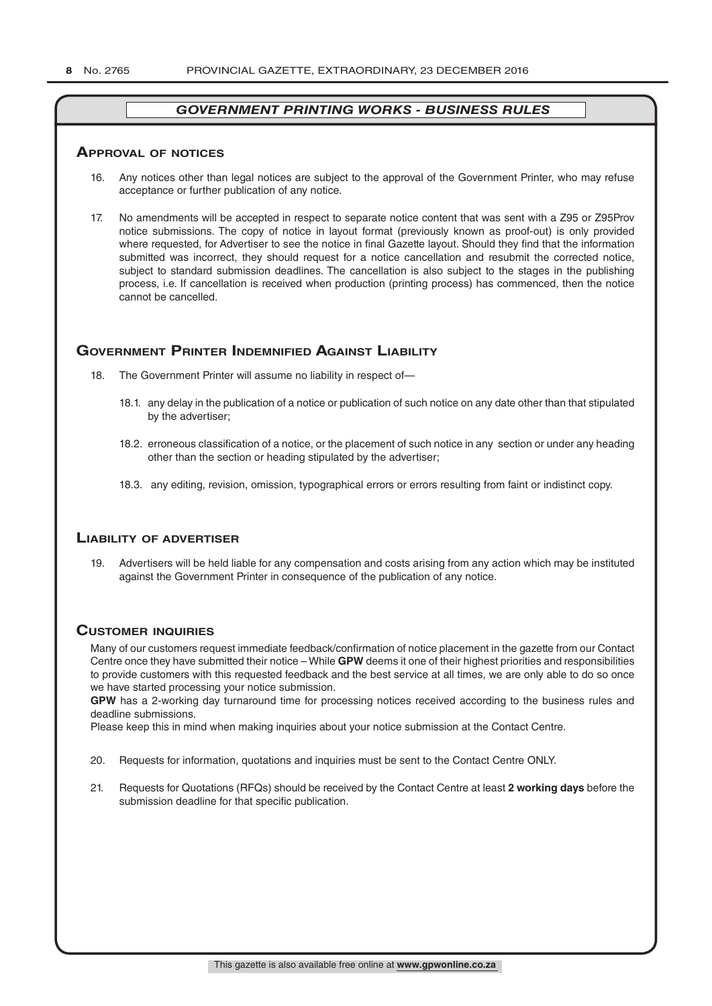#### **ApprovAl of noTiCes**

- 16. Any notices other than legal notices are subject to the approval of the Government Printer, who may refuse acceptance or further publication of any notice.
- 17. No amendments will be accepted in respect to separate notice content that was sent with a Z95 or Z95Prov notice submissions. The copy of notice in layout format (previously known as proof-out) is only provided where requested, for Advertiser to see the notice in final Gazette layout. Should they find that the information submitted was incorrect, they should request for a notice cancellation and resubmit the corrected notice, subject to standard submission deadlines. The cancellation is also subject to the stages in the publishing process, i.e. If cancellation is received when production (printing process) has commenced, then the notice cannot be cancelled.

#### **GOVERNMENT PRINTER INDEMNIFIED AGAINST LIABILITY**

- 18. The Government Printer will assume no liability in respect of-
	- 18.1. any delay in the publication of a notice or publication of such notice on any date other than that stipulated by the advertiser;
	- 18.2. erroneous classification of a notice, or the placement of such notice in any section or under any heading other than the section or heading stipulated by the advertiser;
	- 18.3. any editing, revision, omission, typographical errors or errors resulting from faint or indistinct copy.

#### **liAbiliTy of ADverTiser**

19. Advertisers will be held liable for any compensation and costs arising from any action which may be instituted against the Government Printer in consequence of the publication of any notice.

#### **CusTomer inquiries**

Many of our customers request immediate feedback/confirmation of notice placement in the gazette from our Contact Centre once they have submitted their notice – While **GPW** deems it one of their highest priorities and responsibilities to provide customers with this requested feedback and the best service at all times, we are only able to do so once we have started processing your notice submission.

**GPW** has a 2-working day turnaround time for processing notices received according to the business rules and deadline submissions.

Please keep this in mind when making inquiries about your notice submission at the Contact Centre.

- 20. Requests for information, quotations and inquiries must be sent to the Contact Centre ONLY.
- 21. Requests for Quotations (RFQs) should be received by the Contact Centre at least **2 working days** before the submission deadline for that specific publication.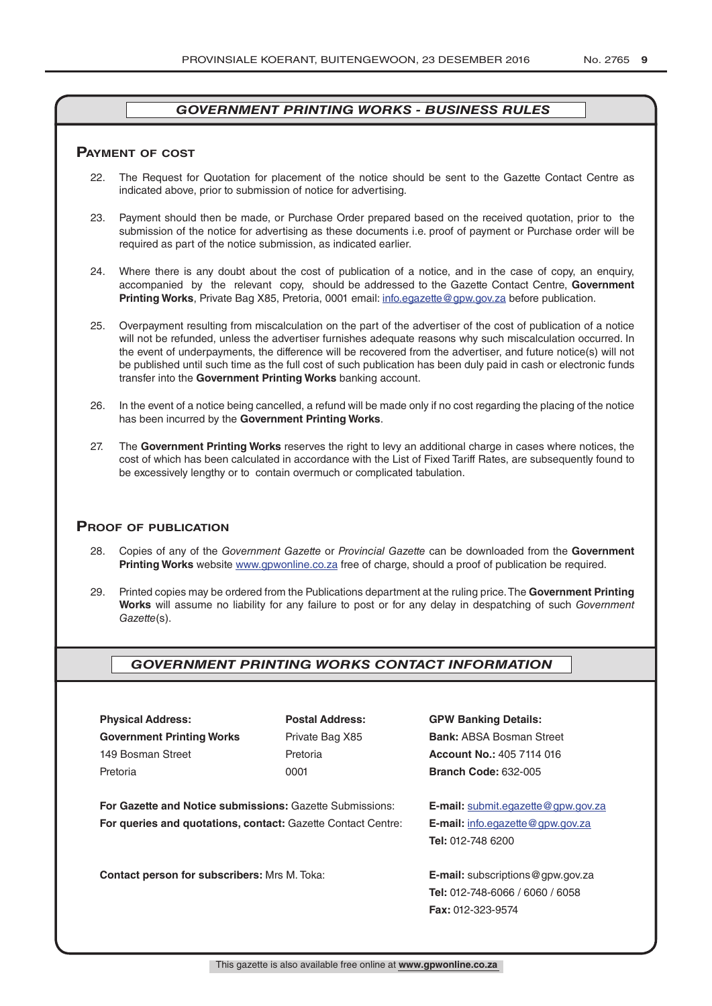#### **pAymenT of CosT**

- 22. The Request for Quotation for placement of the notice should be sent to the Gazette Contact Centre as indicated above, prior to submission of notice for advertising.
- 23. Payment should then be made, or Purchase Order prepared based on the received quotation, prior to the submission of the notice for advertising as these documents i.e. proof of payment or Purchase order will be required as part of the notice submission, as indicated earlier.
- 24. Where there is any doubt about the cost of publication of a notice, and in the case of copy, an enquiry, accompanied by the relevant copy, should be addressed to the Gazette Contact Centre, **Government Printing Works**, Private Bag X85, Pretoria, 0001 email: info.egazette@gpw.gov.za before publication.
- 25. Overpayment resulting from miscalculation on the part of the advertiser of the cost of publication of a notice will not be refunded, unless the advertiser furnishes adequate reasons why such miscalculation occurred. In the event of underpayments, the difference will be recovered from the advertiser, and future notice(s) will not be published until such time as the full cost of such publication has been duly paid in cash or electronic funds transfer into the **Government Printing Works** banking account.
- 26. In the event of a notice being cancelled, a refund will be made only if no cost regarding the placing of the notice has been incurred by the **Government Printing Works**.
- 27. The **Government Printing Works** reserves the right to levy an additional charge in cases where notices, the cost of which has been calculated in accordance with the List of Fixed Tariff Rates, are subsequently found to be excessively lengthy or to contain overmuch or complicated tabulation.

#### **proof of publiCATion**

- 28. Copies of any of the *Government Gazette* or *Provincial Gazette* can be downloaded from the **Government Printing Works** website www.gpwonline.co.za free of charge, should a proof of publication be required.
- 29. Printed copies may be ordered from the Publications department at the ruling price. The **Government Printing Works** will assume no liability for any failure to post or for any delay in despatching of such *Government Gazette*(s).

### *GOVERNMENT PRINTING WORKS CONTACT INFORMATION*

**Physical Address: Postal Address: GPW Banking Details: Government Printing Works** Private Bag X85 **Bank:** ABSA Bosman Street 149 Bosman Street Pretoria **Account No.:** 405 7114 016 Pretoria 0001 **Branch Code:** 632-005

**For Gazette and Notice submissions:** Gazette Submissions: **E-mail:** submit.egazette@gpw.gov.za **For queries and quotations, contact:** Gazette Contact Centre: **E-mail:** info.egazette@gpw.gov.za

**Contact person for subscribers:** Mrs M. Toka: **E-mail:** subscriptions@gpw.gov.za

**Tel:** 012-748 6200

**Tel:** 012-748-6066 / 6060 / 6058 **Fax:** 012-323-9574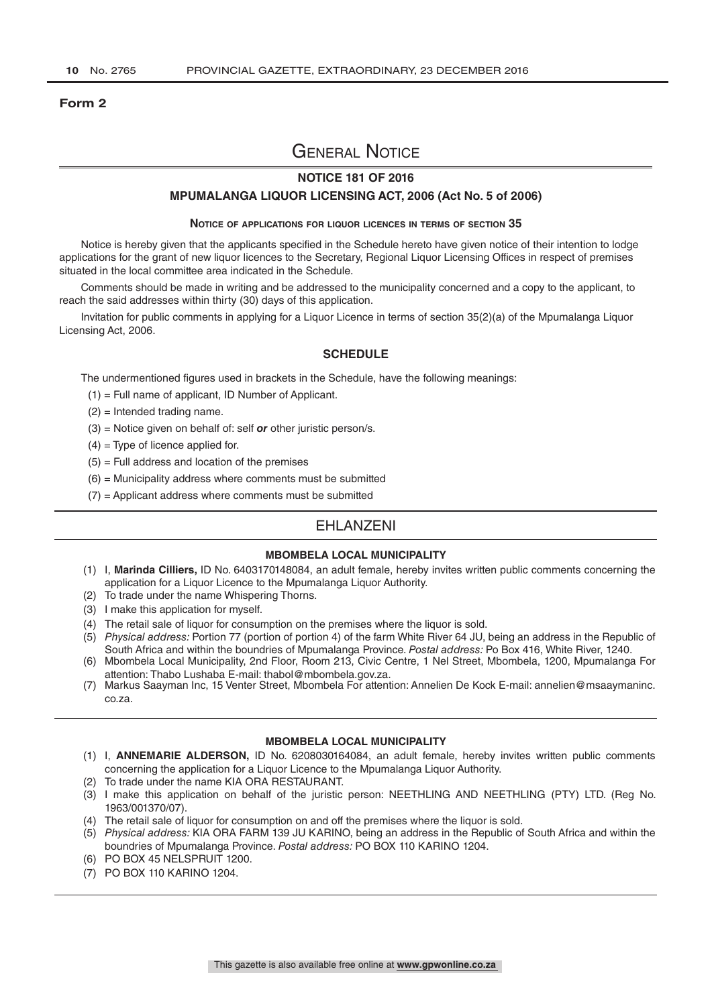#### **Form 2**

# General Notice

#### **NOTICE 181 OF 2016**

#### **MPUMALANGA LIQUOR LICENSING ACT, 2006 (Act No. 5 of 2006)**

#### **Notice of applications for liquor licences in terms of section 35**

Notice is hereby given that the applicants specified in the Schedule hereto have given notice of their intention to lodge applications for the grant of new liquor licences to the Secretary, Regional Liquor Licensing Offices in respect of premises situated in the local committee area indicated in the Schedule.

Comments should be made in writing and be addressed to the municipality concerned and a copy to the applicant, to reach the said addresses within thirty (30) days of this application.

Invitation for public comments in applying for a Liquor Licence in terms of section 35(2)(a) of the Mpumalanga Liquor Licensing Act, 2006.

#### **SCHEDULE**

The undermentioned figures used in brackets in the Schedule, have the following meanings:

- (1) = Full name of applicant, ID Number of Applicant.
- (2) = Intended trading name.
- (3) = Notice given on behalf of: self *or* other juristic person/s.
- $(4)$  = Type of licence applied for.
- $(5)$  = Full address and location of the premises
- $(6)$  = Municipality address where comments must be submitted
- $(7)$  = Applicant address where comments must be submitted

## **FHI ANZENI**

#### **MBOMBELA LOCAL MUNICIPALITY**

- (1) I, **Marinda Cilliers,** ID No. 6403170148084, an adult female, hereby invites written public comments concerning the application for a Liquor Licence to the Mpumalanga Liquor Authority.
- (2) To trade under the name Whispering Thorns.
- (3) I make this application for myself.
- (4) The retail sale of liquor for consumption on the premises where the liquor is sold.
- (5) *Physical address:* Portion 77 (portion of portion 4) of the farm White River 64 JU, being an address in the Republic of South Africa and within the boundries of Mpumalanga Province. *Postal address:* Po Box 416, White River, 1240.
- (6) Mbombela Local Municipality, 2nd Floor, Room 213, Civic Centre, 1 Nel Street, Mbombela, 1200, Mpumalanga For attention: Thabo Lushaba E-mail: thabol@mbombela.gov.za.
- (7) Markus Saayman Inc, 15 Venter Street, Mbombela For attention: Annelien De Kock E-mail: annelien@msaaymaninc. co.za.

#### **MBOMBELA LOCAL MUNICIPALITY**

- (1) I, **ANNEMARIE ALDERSON,** ID No. 6208030164084, an adult female, hereby invites written public comments concerning the application for a Liquor Licence to the Mpumalanga Liquor Authority.
- (2) To trade under the name KIA ORA RESTAURANT.
- (3) I make this application on behalf of the juristic person: NEETHLING AND NEETHLING (PTY) LTD. (Reg No. 1963/001370/07).
- (4) The retail sale of liquor for consumption on and off the premises where the liquor is sold.
- (5) *Physical address:* KIA ORA FARM 139 JU KARINO, being an address in the Republic of South Africa and within the boundries of Mpumalanga Province. *Postal address:* PO BOX 110 KARINO 1204.
- (6) PO BOX 45 NELSPRUIT 1200.
- (7) PO BOX 110 KARINO 1204.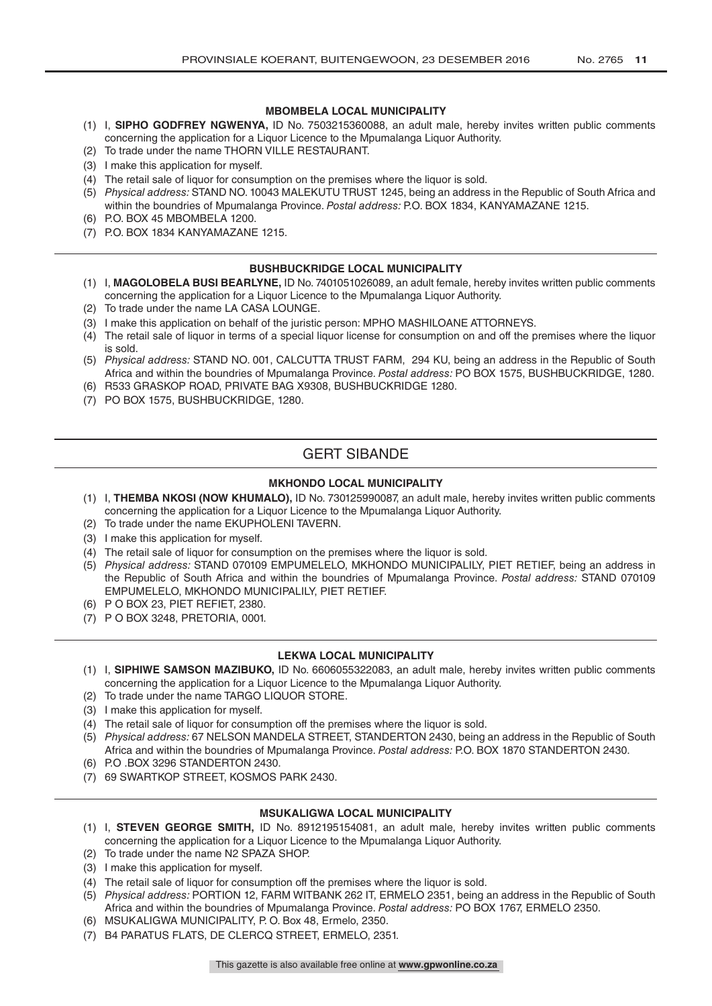#### **MBOMBELA LOCAL MUNICIPALITY**

- (1) I, **SIPHO GODFREY NGWENYA,** ID No. 7503215360088, an adult male, hereby invites written public comments concerning the application for a Liquor Licence to the Mpumalanga Liquor Authority.
- (2) To trade under the name THORN VILLE RESTAURANT.
- (3) I make this application for myself.
- (4) The retail sale of liquor for consumption on the premises where the liquor is sold.
- (5) *Physical address:* STAND NO. 10043 MALEKUTU TRUST 1245, being an address in the Republic of South Africa and within the boundries of Mpumalanga Province. *Postal address:* P.O. BOX 1834, KANYAMAZANE 1215.
- (6) P.O. BOX 45 MBOMBELA 1200.
- (7) P.O. BOX 1834 KANYAMAZANE 1215.

#### **BUSHBUCKRIDGE LOCAL MUNICIPALITY**

- (1) I, **MAGOLOBELA BUSI BEARLYNE,** ID No. 7401051026089, an adult female, hereby invites written public comments concerning the application for a Liquor Licence to the Mpumalanga Liquor Authority.
- (2) To trade under the name LA CASA LOUNGE.
- (3) I make this application on behalf of the juristic person: MPHO MASHILOANE ATTORNEYS.
- (4) The retail sale of liquor in terms of a special liquor license for consumption on and off the premises where the liquor is sold.
- (5) *Physical address:* STAND NO. 001, CALCUTTA TRUST FARM, 294 KU, being an address in the Republic of South Africa and within the boundries of Mpumalanga Province. *Postal address:* PO BOX 1575, BUSHBUCKRIDGE, 1280.
- (6) R533 GRASKOP ROAD, PRIVATE BAG X9308, BUSHBUCKRIDGE 1280.
- (7) PO BOX 1575, BUSHBUCKRIDGE, 1280.

## GERT SIBANDE

#### **MKHONDO LOCAL MUNICIPALITY**

- (1) I, **THEMBA NKOSI (NOW KHUMALO),** ID No. 730125990087, an adult male, hereby invites written public comments concerning the application for a Liquor Licence to the Mpumalanga Liquor Authority.
- (2) To trade under the name EKUPHOLENI TAVERN.
- (3) I make this application for myself.
- (4) The retail sale of liquor for consumption on the premises where the liquor is sold.
- (5) *Physical address:* STAND 070109 EMPUMELELO, MKHONDO MUNICIPALILY, PIET RETIEF, being an address in the Republic of South Africa and within the boundries of Mpumalanga Province. *Postal address:* STAND 070109 EMPUMELELO, MKHONDO MUNICIPALILY, PIET RETIEF.
- (6) P O BOX 23, PIET REFIET, 2380.
- (7) P O BOX 3248, PRETORIA, 0001.

#### **LEKWA LOCAL MUNICIPALITY**

- (1) I, **SIPHIWE SAMSON MAZIBUKO,** ID No. 6606055322083, an adult male, hereby invites written public comments concerning the application for a Liquor Licence to the Mpumalanga Liquor Authority.
- (2) To trade under the name TARGO LIQUOR STORE.
- (3) I make this application for myself.
- (4) The retail sale of liquor for consumption off the premises where the liquor is sold.
- (5) *Physical address:* 67 NELSON MANDELA STREET, STANDERTON 2430, being an address in the Republic of South Africa and within the boundries of Mpumalanga Province. *Postal address:* P.O. BOX 1870 STANDERTON 2430.
- (6) P.O .BOX 3296 STANDERTON 2430.
- (7) 69 SWARTKOP STREET, KOSMOS PARK 2430.

#### **MSUKALIGWA LOCAL MUNICIPALITY**

- (1) I, **STEVEN GEORGE SMITH,** ID No. 8912195154081, an adult male, hereby invites written public comments concerning the application for a Liquor Licence to the Mpumalanga Liquor Authority.
- (2) To trade under the name N2 SPAZA SHOP.
- (3) I make this application for myself.
- (4) The retail sale of liquor for consumption off the premises where the liquor is sold.
- (5) *Physical address:* PORTION 12, FARM WITBANK 262 IT, ERMELO 2351, being an address in the Republic of South Africa and within the boundries of Mpumalanga Province. *Postal address:* PO BOX 1767, ERMELO 2350.
- (6) MSUKALIGWA MUNICIPALITY, P. O. Box 48, Ermelo, 2350.
- (7) B4 PARATUS FLATS, DE CLERCQ STREET, ERMELO, 2351.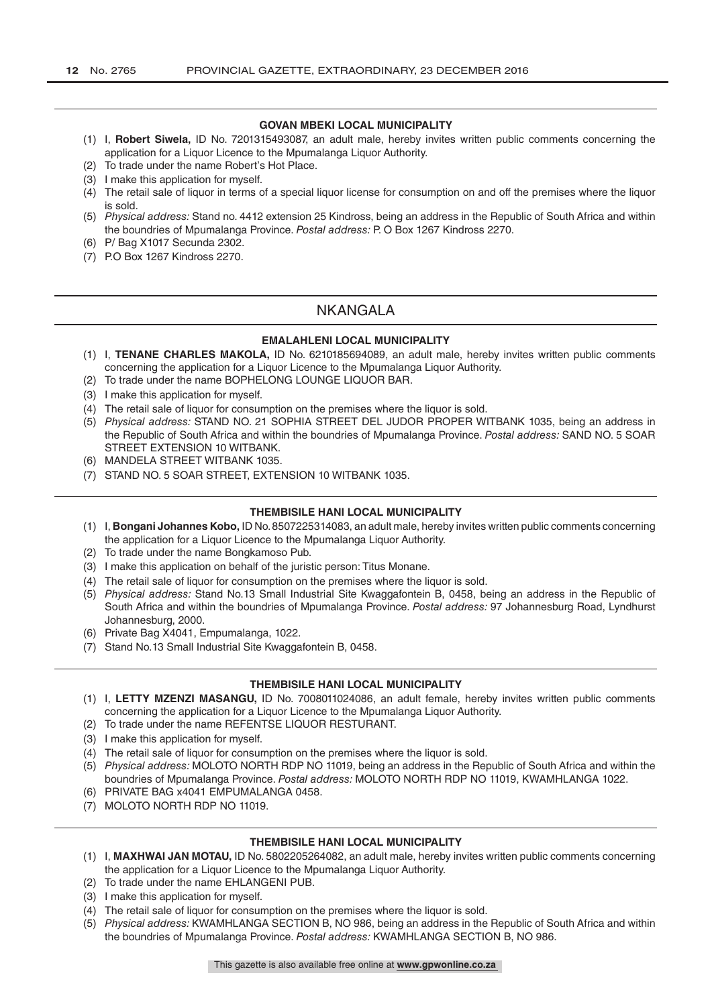#### **GOVAN MBEKI LOCAL MUNICIPALITY**

- (1) I, **Robert Siwela,** ID No. 7201315493087, an adult male, hereby invites written public comments concerning the application for a Liquor Licence to the Mpumalanga Liquor Authority.
- (2) To trade under the name Robert's Hot Place.
- (3) I make this application for myself.
- (4) The retail sale of liquor in terms of a special liquor license for consumption on and off the premises where the liquor is sold.
- (5) *Physical address:* Stand no. 4412 extension 25 Kindross, being an address in the Republic of South Africa and within the boundries of Mpumalanga Province. *Postal address:* P. O Box 1267 Kindross 2270.
- (6) P/ Bag X1017 Secunda 2302.
- (7) P.O Box 1267 Kindross 2270.

#### NKANGALA

#### **EMALAHLENI LOCAL MUNICIPALITY**

- (1) I, **TENANE CHARLES MAKOLA,** ID No. 6210185694089, an adult male, hereby invites written public comments concerning the application for a Liquor Licence to the Mpumalanga Liquor Authority.
- (2) To trade under the name BOPHELONG LOUNGE LIQUOR BAR.
- (3) I make this application for myself.
- (4) The retail sale of liquor for consumption on the premises where the liquor is sold.
- (5) *Physical address:* STAND NO. 21 SOPHIA STREET DEL JUDOR PROPER WITBANK 1035, being an address in the Republic of South Africa and within the boundries of Mpumalanga Province. *Postal address:* SAND NO. 5 SOAR STREET EXTENSION 10 WITBANK.
- (6) MANDELA STREET WITBANK 1035.
- (7) STAND NO. 5 SOAR STREET, EXTENSION 10 WITBANK 1035.

#### **THEMBISILE HANI LOCAL MUNICIPALITY**

- (1) I, **Bongani Johannes Kobo,** ID No. 8507225314083, an adult male, hereby invites written public comments concerning the application for a Liquor Licence to the Mpumalanga Liquor Authority.
- (2) To trade under the name Bongkamoso Pub.
- (3) I make this application on behalf of the juristic person: Titus Monane.
- (4) The retail sale of liquor for consumption on the premises where the liquor is sold.
- (5) *Physical address:* Stand No.13 Small Industrial Site Kwaggafontein B, 0458, being an address in the Republic of South Africa and within the boundries of Mpumalanga Province. *Postal address:* 97 Johannesburg Road, Lyndhurst Johannesburg, 2000.
- (6) Private Bag X4041, Empumalanga, 1022.
- (7) Stand No.13 Small Industrial Site Kwaggafontein B, 0458.

#### **THEMBISILE HANI LOCAL MUNICIPALITY**

- (1) I, **LETTY MZENZI MASANGU,** ID No. 7008011024086, an adult female, hereby invites written public comments concerning the application for a Liquor Licence to the Mpumalanga Liquor Authority.
- (2) To trade under the name REFENTSE LIQUOR RESTURANT.
- (3) I make this application for myself.
- (4) The retail sale of liquor for consumption on the premises where the liquor is sold.
- (5) *Physical address:* MOLOTO NORTH RDP NO 11019, being an address in the Republic of South Africa and within the boundries of Mpumalanga Province. *Postal address:* MOLOTO NORTH RDP NO 11019, KWAMHLANGA 1022.
- (6) PRIVATE BAG x4041 EMPUMALANGA 0458.
- (7) MOLOTO NORTH RDP NO 11019.

#### **THEMBISILE HANI LOCAL MUNICIPALITY**

- (1) I, **MAXHWAI JAN MOTAU,** ID No. 5802205264082, an adult male, hereby invites written public comments concerning the application for a Liquor Licence to the Mpumalanga Liquor Authority.
- (2) To trade under the name EHLANGENI PUB.
- (3) I make this application for myself.
- (4) The retail sale of liquor for consumption on the premises where the liquor is sold.
- (5) *Physical address:* KWAMHLANGA SECTION B, NO 986, being an address in the Republic of South Africa and within the boundries of Mpumalanga Province. *Postal address:* KWAMHLANGA SECTION B, NO 986.

This gazette is also available free online at **www.gpwonline.co.za**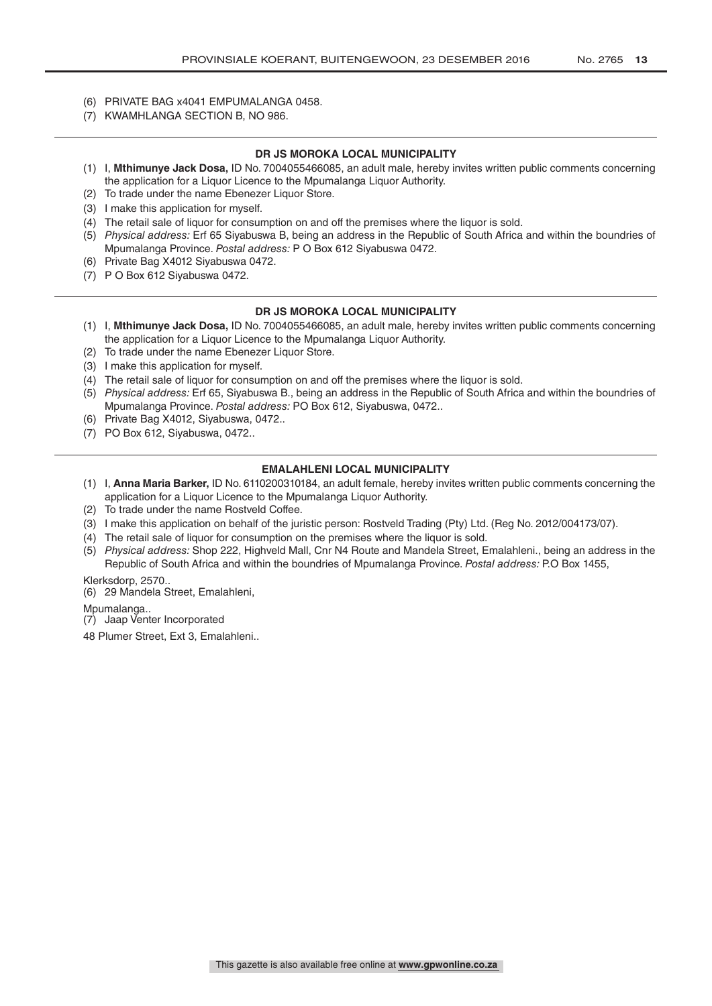- (6) PRIVATE BAG x4041 EMPUMALANGA 0458.
- (7) KWAMHLANGA SECTION B, NO 986.

#### **DR JS MOROKA LOCAL MUNICIPALITY**

- (1) I, **Mthimunye Jack Dosa,** ID No. 7004055466085, an adult male, hereby invites written public comments concerning the application for a Liquor Licence to the Mpumalanga Liquor Authority.
- (2) To trade under the name Ebenezer Liquor Store.
- (3) I make this application for myself.
- (4) The retail sale of liquor for consumption on and off the premises where the liquor is sold.
- (5) *Physical address:* Erf 65 Siyabuswa B, being an address in the Republic of South Africa and within the boundries of Mpumalanga Province. *Postal address:* P O Box 612 Siyabuswa 0472.
- (6) Private Bag X4012 Siyabuswa 0472.
- (7) P O Box 612 Siyabuswa 0472.

#### **DR JS MOROKA LOCAL MUNICIPALITY**

- (1) I, **Mthimunye Jack Dosa,** ID No. 7004055466085, an adult male, hereby invites written public comments concerning the application for a Liquor Licence to the Mpumalanga Liquor Authority.
- (2) To trade under the name Ebenezer Liquor Store.
- (3) I make this application for myself.
- (4) The retail sale of liquor for consumption on and off the premises where the liquor is sold.
- (5) *Physical address:* Erf 65, Siyabuswa B., being an address in the Republic of South Africa and within the boundries of Mpumalanga Province. *Postal address:* PO Box 612, Siyabuswa, 0472..
- (6) Private Bag X4012, Siyabuswa, 0472..
- (7) PO Box 612, Siyabuswa, 0472..

#### **EMALAHLENI LOCAL MUNICIPALITY**

- (1) I, **Anna Maria Barker,** ID No. 6110200310184, an adult female, hereby invites written public comments concerning the application for a Liquor Licence to the Mpumalanga Liquor Authority.
- (2) To trade under the name Rostveld Coffee.
- (3) I make this application on behalf of the juristic person: Rostveld Trading (Pty) Ltd. (Reg No. 2012/004173/07).
- (4) The retail sale of liquor for consumption on the premises where the liquor is sold.
- (5) *Physical address:* Shop 222, Highveld Mall, Cnr N4 Route and Mandela Street, Emalahleni., being an address in the Republic of South Africa and within the boundries of Mpumalanga Province. *Postal address:* P.O Box 1455,

Klerksdorp, 2570..

(6) 29 Mandela Street, Emalahleni,

Mpumalanga..

(7) Jaap Venter Incorporated

48 Plumer Street, Ext 3, Emalahleni..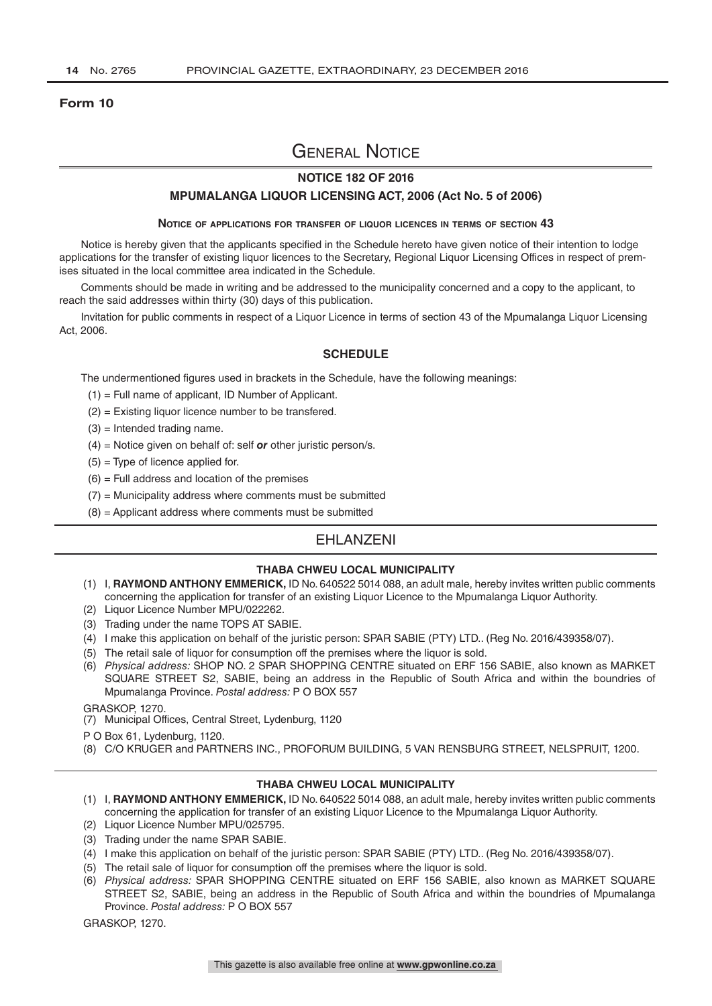#### **Form 10**

# General Notice

#### **NOTICE 182 OF 2016**

#### **MPUMALANGA LIQUOR LICENSING ACT, 2006 (Act No. 5 of 2006)**

#### **Notice of applications for transfer of liquor licences in terms of section 43**

Notice is hereby given that the applicants specified in the Schedule hereto have given notice of their intention to lodge applications for the transfer of existing liquor licences to the Secretary, Regional Liquor Licensing Offices in respect of premises situated in the local committee area indicated in the Schedule.

Comments should be made in writing and be addressed to the municipality concerned and a copy to the applicant, to reach the said addresses within thirty (30) days of this publication.

Invitation for public comments in respect of a Liquor Licence in terms of section 43 of the Mpumalanga Liquor Licensing Act, 2006.

#### **SCHEDULE**

The undermentioned figures used in brackets in the Schedule, have the following meanings:

- (1) = Full name of applicant, ID Number of Applicant.
- (2) = Existing liquor licence number to be transfered.
- $(3)$  = Intended trading name.
- (4) = Notice given on behalf of: self *or* other juristic person/s.
- $(5)$  = Type of licence applied for.
- $(6)$  = Full address and location of the premises
- $(7)$  = Municipality address where comments must be submitted
- (8) = Applicant address where comments must be submitted

#### EHLANZENI

#### **THABA CHWEU LOCAL MUNICIPALITY**

- (1) I, **RAYMOND ANTHONY EMMERICK,** ID No. 640522 5014 088, an adult male, hereby invites written public comments concerning the application for transfer of an existing Liquor Licence to the Mpumalanga Liquor Authority.
- (2) Liquor Licence Number MPU/022262.
- (3) Trading under the name TOPS AT SABIE.
- (4) I make this application on behalf of the juristic person: SPAR SABIE (PTY) LTD.. (Reg No. 2016/439358/07).
- (5) The retail sale of liquor for consumption off the premises where the liquor is sold.
- (6) *Physical address:* SHOP NO. 2 SPAR SHOPPING CENTRE situated on ERF 156 SABIE, also known as MARKET SQUARE STREET S2, SABIE, being an address in the Republic of South Africa and within the boundries of Mpumalanga Province. *Postal address:* P O BOX 557

GRASKOP, 1270.

- (7) Municipal Offices, Central Street, Lydenburg, 1120
- P O Box 61, Lydenburg, 1120.
- (8) C/O KRUGER and PARTNERS INC., PROFORUM BUILDING, 5 VAN RENSBURG STREET, NELSPRUIT, 1200.

#### **THABA CHWEU LOCAL MUNICIPALITY**

- (1) I, **RAYMOND ANTHONY EMMERICK,** ID No. 640522 5014 088, an adult male, hereby invites written public comments concerning the application for transfer of an existing Liquor Licence to the Mpumalanga Liquor Authority.
- (2) Liquor Licence Number MPU/025795.
- (3) Trading under the name SPAR SABIE.
- (4) I make this application on behalf of the juristic person: SPAR SABIE (PTY) LTD.. (Reg No. 2016/439358/07).
- (5) The retail sale of liquor for consumption off the premises where the liquor is sold.
- (6) *Physical address:* SPAR SHOPPING CENTRE situated on ERF 156 SABIE, also known as MARKET SQUARE STREET S2, SABIE, being an address in the Republic of South Africa and within the boundries of Mpumalanga Province. *Postal address:* P O BOX 557

GRASKOP, 1270.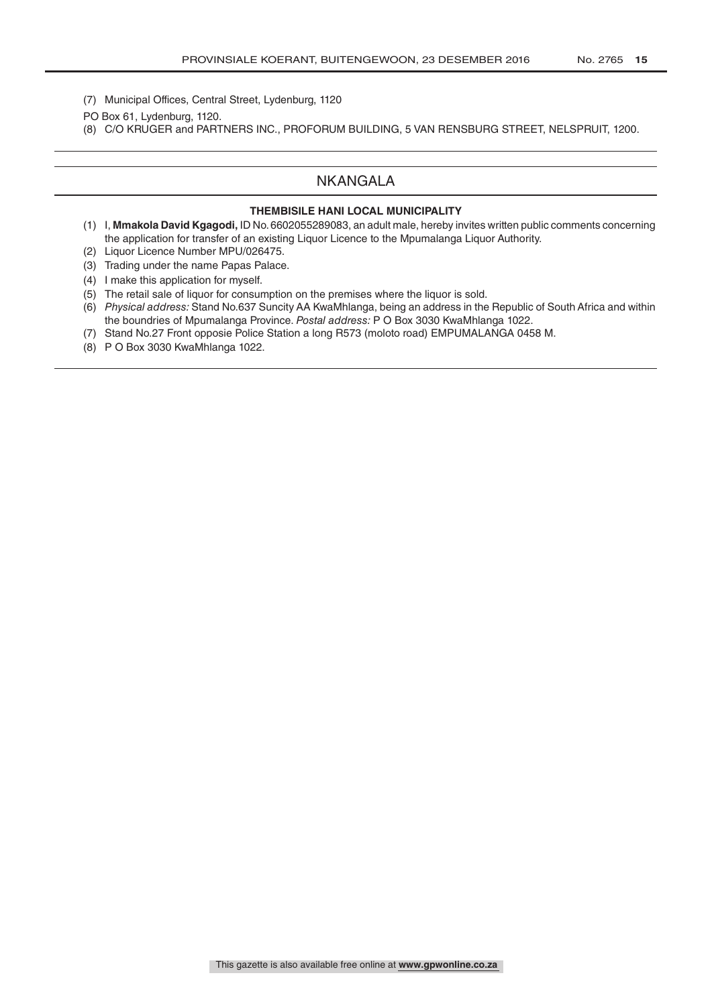- (7) Municipal Offices, Central Street, Lydenburg, 1120
- PO Box 61, Lydenburg, 1120.
- (8) C/O KRUGER and PARTNERS INC., PROFORUM BUILDING, 5 VAN RENSBURG STREET, NELSPRUIT, 1200.

### NKANGALA

#### **THEMBISILE HANI LOCAL MUNICIPALITY**

- (1) I, **Mmakola David Kgagodi,** ID No. 6602055289083, an adult male, hereby invites written public comments concerning the application for transfer of an existing Liquor Licence to the Mpumalanga Liquor Authority.
- (2) Liquor Licence Number MPU/026475.
- (3) Trading under the name Papas Palace.
- (4) I make this application for myself.
- (5) The retail sale of liquor for consumption on the premises where the liquor is sold.
- (6) *Physical address:* Stand No.637 Suncity AA KwaMhlanga, being an address in the Republic of South Africa and within the boundries of Mpumalanga Province. *Postal address:* P O Box 3030 KwaMhlanga 1022.
- (7) Stand No.27 Front opposie Police Station a long R573 (moloto road) EMPUMALANGA 0458 M.
- (8) P O Box 3030 KwaMhlanga 1022.